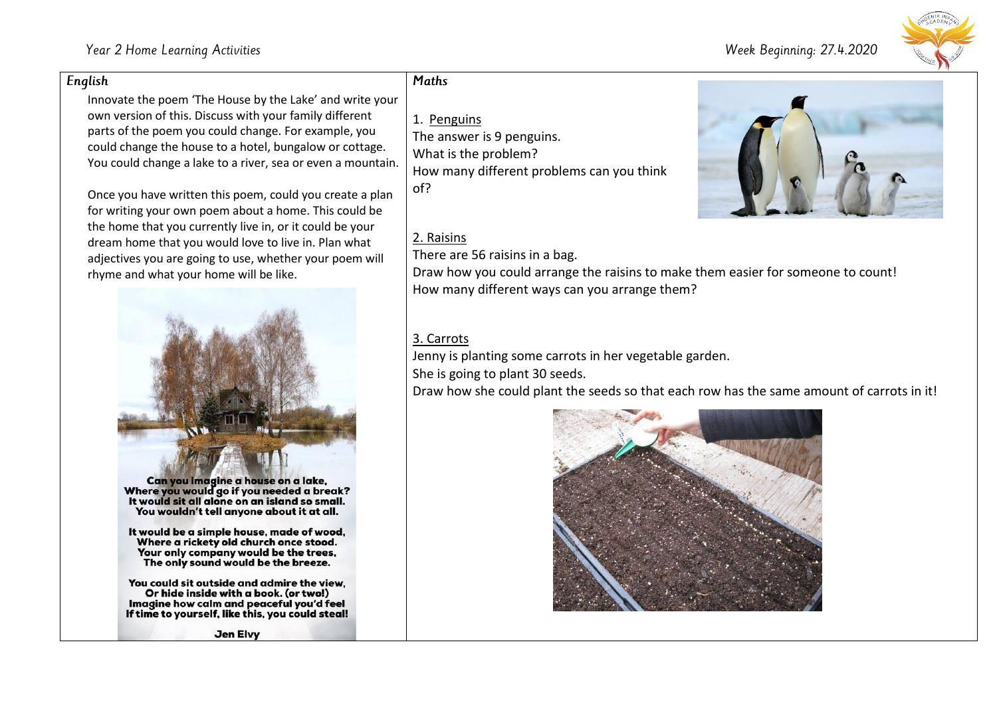#### Week Beginning: 27.4.2020



#### English

Innovate the poem 'The House by the Lake' and write your own version of this. Discuss with your family different parts of the poem you could change. For example, you could change the house to a hotel, bungalow or cottage. You could change a lake to a river, sea or even a mountain.

Once you have written this poem, could you create a plan for writing your own poem about a home. This could be the home that you currently live in, or it could be your dream home that you would love to live in. Plan what adjectives you are going to use, whether your poem will rhyme and what your home will be like.



It would sit all alone on an island so small. You wouldn't tell anyone about it at all.

It would be a simple house, made of wood, Where a rickety old church once stood. Your only company would be the trees. The only sound would be the breeze.

You could sit outside and admire the view. Or hide inside with a book. (or two!) Imagine how calm and peaceful you'd feel If time to yourself, like this, you could steal!

## **Maths**

## 1. Penguins

The answer is 9 penguins. What is the problem? How many different problems can you think of?

## 2. Raisins

There are 56 raisins in a bag.

Draw how you could arrange the raisins to make them easier for someone to count! How many different ways can you arrange them?

### 3. Carrots

Jenny is planting some carrots in her vegetable garden.

She is going to plant 30 seeds.

Draw how she could plant the seeds so that each row has the same amount of carrots in it!